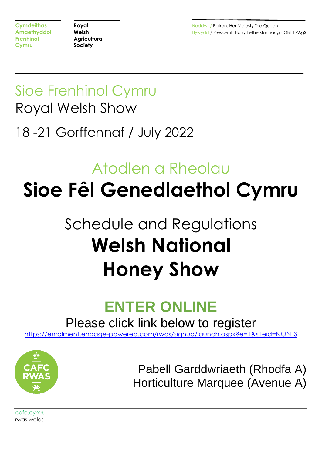**Cymdeithas <b>Royal Royal Royal Royal Royal Royal Royal Royal Royal Royal Royal Royal Royal Royal Royal Royal Royal Royal Royal Royal Royal Royal Royal Royal Royal Royal R Amaethyddol <b>Welsh Welsh** Llywydd / President: Harry Fetherstonhaugh OBE FRAgS

# Sioe Frenhinol Cymru Royal Welsh Show 18 -21 Gorffennaf / July 2022

# Atodlen a Rheolau **Sioe Fêl Genedlaethol Cymru**

# Schedule and Regulations **Welsh National Honey Show**

# **ENTER ONLINE**

Please click link below to register

[https://enrolment.engage-powered.com/rwas/signup/launch.aspx?e=1&siteid=NONLS](https://protect-eu.mimecast.com/s/QSAyCr8gnhDm6pF7s4F0)



Pabell Garddwriaeth (Rhodfa A) Horticulture Marquee (Avenue A)

cafc.cymru rwas.wales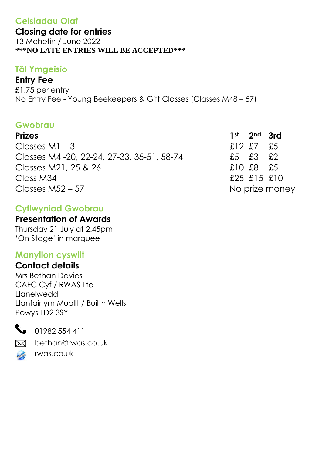## **Ceisiadau Olaf**

**Closing date for entries**

13 Mehefin / June 2022 **\*\*\*NO LATE ENTRIES WILL BE ACCEPTED\*\*\***

## **Tâl Ymgeisio**

## **Entry Fee**

£1.75 per entry No Entry Fee - Young Beekeepers & Gift Classes (Classes M48 – 57)

## **Gwobrau**

| <b>Prizes</b>                               | $1st$ 2nd 3rd  |                |
|---------------------------------------------|----------------|----------------|
| Classes $M1 - 3$                            | $£12$ £7 £5    |                |
| Classes M4 - 20, 22-24, 27-33, 35-51, 58-74 | $£5$ $£3$ $£2$ |                |
| Classes M21, 25 & 26                        | £10£8£5        |                |
| Class M34                                   | £25 £15 £10    |                |
| Classes $M52 - 57$                          |                | No prize money |

## **Cyflwyniad Gwobrau**

### **Presentation of Awards**

Thursday 21 July at 2.45pm 'On Stage' in marquee

## **Manylion cyswllt**

## **Contact details**

Mrs Bethan Davies CAFC Cyf / RWAS Ltd Llanelwedd Llanfair ym Muallt / Builth Wells Powys LD2 3SY



01982 554 411

bethan@rwas.co.uk  $\bowtie$ 



rwas.co.uk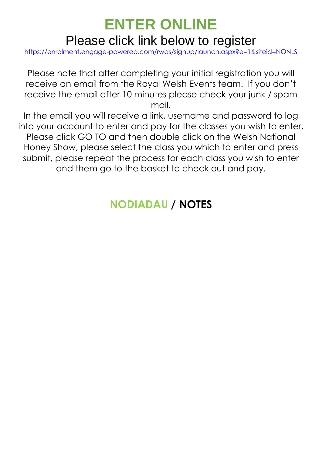## **ENTER ONLINE**  Please click link below to register

[https://enrolment.engage-powered.com/rwas/signup/launch.aspx?e=1&siteid=NONLS](https://protect-eu.mimecast.com/s/QSAyCr8gnhDm6pF7s4F0)

Please note that after completing your initial registration you will receive an email from the Royal Welsh Events team. If you don't receive the email after 10 minutes please check your junk / spam mail.

In the email you will receive a link, username and password to log into your account to enter and pay for the classes you wish to enter. Please click GO TO and then double click on the Welsh National Honey Show, please select the class you which to enter and press submit, please repeat the process for each class you wish to enter and them go to the basket to check out and pay.

## **NODIADAU / NOTES**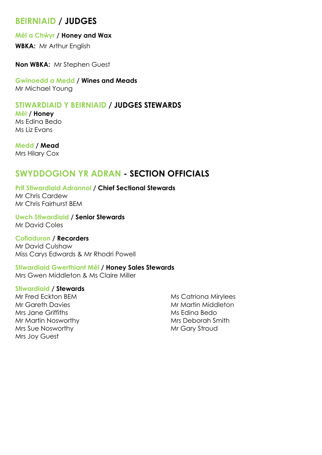## **BEIRNIAID / JUDGES**

#### **Mêl a Chŵyr / Honey and Wax**

**WBKA:** Mr Arthur English

**Non WBKA:** Mr Stephen Guest

**Gwinoedd a Medd / Wines and Meads** Mr Michael Young

#### **STIWARDIAID Y BEIRNIAID / JUDGES STEWARDS**

**Mêl / Honey** Ms Edina Bedo Ms Liz Evans

**Medd / Mead** Mrs Hilary Cox

### **SWYDDOGION YR ADRAN - SECTION OFFICIALS**

**Prif Stiwardiaid Adrannol / Chief Sectional Stewards** Mr Chris Cardew Mr Chris Fairhurst BEM

**Uwch Stiwardiaid / Senior Stewards** Mr David Coles

**Cofiaduron / Recorders** Mr David Culshaw Miss Carys Edwards & Mr Rhodri Powell

#### **Stiwardiaid Gwerthiant Mêl / Honey Sales Stewards**

Mrs Gwen Middleton & Ms Claire Miller

#### **Stiwardiaid / Stewards**

Mr Fred Eckton BEM Mr Gareth Davies Mrs Jane Griffiths Mr Martin Nosworthy Mrs Sue Nosworthy Mrs Joy Guest

Ms Catriona Mirylees Mr Martin Middleton Ms Edina Bedo Mrs Deborah Smith Mr Gary Stroud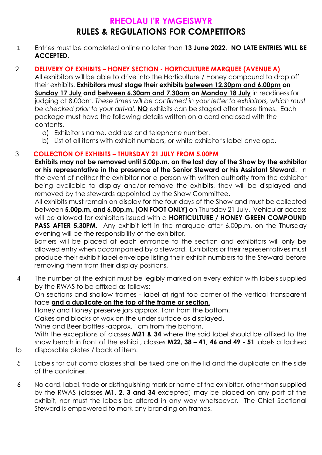## **RHEOLAU I'R YMGEISWYR RULES & REGULATIONS FOR COMPETITORS**

1 Entries must be completed online no later than **13 June 2022**. **NO LATE ENTRIES WILL BE ACCEPTED.**

#### 2 **DELIVERY OF EXHIBITS – HONEY SECTION - HORTICULTURE MARQUEE (AVENUE A)**

All exhibitors will be able to drive into the Horticulture / Honey compound to drop off their exhibits. **Exhibitors must stage their exhibits between 12.30pm and 6.00pm on Sunday 17 July and between 6.30am and 7.30am on Monday 18 July** in readiness for judging at 8.00am. *These times will be confirmed in your letter to exhibitors, which must be checked prior to your arrival.* **NO** exhibits can be staged after these times. Each package must have the following details written on a card enclosed with the contents.

- a) Exhibitor's name, address and telephone number.
- b) List of all items with exhibit numbers, or white exhibitor's label envelope.

#### 3 **COLLECTION OF EXHIBITS – THURSDAY 21 JULY FROM 5.00PM**

**Exhibits may not be removed until 5.00p.m. on the last day of the Show by the exhibitor or his representative in the presence of the Senior Steward or his Assistant Steward**. In the event of neither the exhibitor nor a person with written authority from the exhibitor being available to display and/or remove the exhibits, they will be displayed and removed by the stewards appointed by the Show Committee.

All exhibits must remain on display for the four days of the Show and must be collected between **5.00p.m. and 6.00p.m. (ON FOOT ONLY)** on Thursday 21 July. Vehicular access will be allowed for exhibitors issued with a **HORTICULTURE / HONEY GREEN COMPOUND PASS AFTER 5.30PM.** Any exhibit left in the marquee after 6.00p.m. on the Thursday evening will be the responsibility of the exhibitor.

Barriers will be placed at each entrance to the section and exhibitors will only be allowed entry when accompanied by a steward. Exhibitors or their representatives must produce their exhibit label envelope listing their exhibit numbers to the Steward before removing them from their display positions.

4 The number of the exhibit must be legibly marked on every exhibit with labels supplied by the RWAS to be affixed as follows:

On sections and shallow frames - label at right top corner of the vertical transparent face **and a duplicate on the top of the frame or section.**

Honey and Honey preserve jars approx. 1cm from the bottom.

Cakes and blocks of wax on the under surface as displayed.

Wine and Beer bottles -approx. 1cm from the bottom.

With the exceptions of classes **M21 & 34** where the said label should be affixed to the show bench in front of the exhibit, classes **M22, 38 – 41, 46 and 49 - 51** labels attached to disposable plates / back of item.

- 
- 5 Labels for cut comb classes shall be fixed one on the lid and the duplicate on the side of the container.
- 6 No card, label, trade or distinguishing mark or name of the exhibitor, other than supplied by the RWAS (classes **M1, 2, 3 and 34** excepted) may be placed on any part of the exhibit, nor must the labels be altered in any way whatsoever. The Chief Sectional Steward is empowered to mark any branding on frames.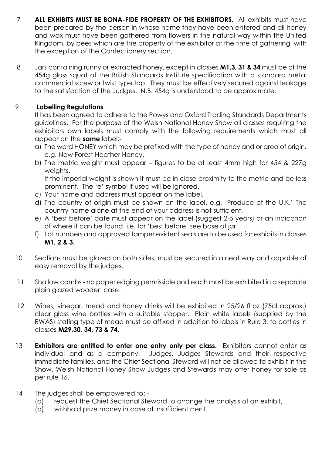- 7 **ALL EXHIBITS MUST BE BONA-FIDE PROPERTY OF THE EXHIBITORS.** All exhibits must have been prepared by the person in whose name they have been entered and all honey and wax must have been gathered from flowers in the natural way within the United Kingdom, by bees which are the property of the exhibitor at the time of gathering, with the exception of the Confectionery section.
- 8 Jars containing runny or extracted honey, except in classes **M1,3, 31 & 34** must be of the 454g glass squat of the British Standards Institute specification with a standard metal commercial screw or twist type top. They must be effectively secured against leakage to the satisfaction of the Judges. N.B. 454g is understood to be approximate.

#### 9 **Labelling Regulations**

It has been agreed to adhere to the Powys and Oxford Trading Standards Departments guidelines. For the purpose of the Welsh National Honey Show all classes requiring the exhibitors own labels must comply with the following requirements which must all appear on the **same** label:-

- a) The word HONEY which may be prefixed with the type of honey and or area of origin. e.g. New Forest Heather Honey.
- b) The metric weight must appear figures to be at least 4mm high for 454 & 227g weights.

If the imperial weight is shown it must be in close proximity to the metric and be less prominent. The 'e' symbol if used will be ignored.

- c) Your name and address must appear on the label.
- d) The country of origin must be shown on the label. e.g. 'Produce of the U.K.' The country name alone at the end of your address is not sufficient.
- e) A 'best before' date must appear on the label (suggest 2-5 years) or an indication of where it can be found. i.e. for 'best before' see base of jar.
- f) Lot numbers and approved tamper evident seals are to be used for exhibits in classes **M1, 2 & 3.**
- 10 Sections must be glazed on both sides, must be secured in a neat way and capable of easy removal by the judges.
- 11 Shallow combs no paper edging permissible and each must be exhibited in a separate plain glazed wooden case.
- 12 Wines, vinegar, mead and honey drinks will be exhibited in 25/26 fl oz (75cl approx.) clear glass wine bottles with a suitable stopper. Plain white labels (supplied by the RWAS) stating type of mead must be affixed in addition to labels in Rule 3, to bottles in classes **M29,30, 34, 73 & 74.**
- 13 **Exhibitors are entitled to enter one entry only per class.** Exhibitors cannot enter as individual and as a company. Judges, Judges Stewards and their respective immediate families, and the Chief Sectional Steward will not be allowed to exhibit in the Show. Welsh National Honey Show Judges and Stewards may offer honey for sale as per rule 16.
- 14 The judges shall be empowered to: -
	- (a) request the Chief Sectional Steward to arrange the analysis of an exhibit,
	- (b) withhold prize money in case of insufficient merit.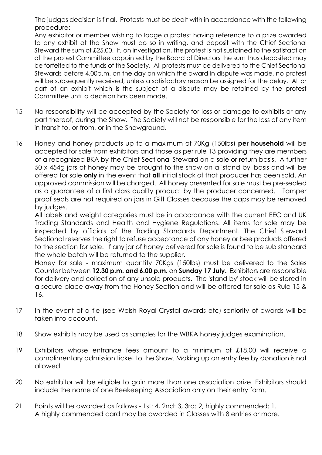The judges decision is final. Protests must be dealt with in accordance with the following procedure:

Any exhibitor or member wishing to lodge a protest having reference to a prize awarded to any exhibit at the Show must do so in writing, and deposit with the Chief Sectional Steward the sum of £25.00. If, on investigation, the protest is not sustained to the satisfaction of the protest Committee appointed by the Board of Directors the sum thus deposited may be forfeited to the funds of the Society. All protests must be delivered to the Chief Sectional Stewards before 4.00p.m. on the day on which the award in dispute was made, no protest will be subsequently received, unless a satisfactory reason be assigned for the delay. All or part of an exhibit which is the subject of a dispute may be retained by the protest Committee until a decision has been made.

- 15 No responsibility will be accepted by the Society for loss or damage to exhibits or any part thereof, during the Show. The Society will not be responsible for the loss of any item in transit to, or from, or in the Showground.
- 16 Honey and honey products up to a maximum of 70Kg (150lbs) **per household** will be accepted for sale from exhibitors and those as per rule 13 providing they are members of a recognized BKA by the Chief Sectional Steward on a sale or return basis. A further 50 x 454g jars of honey may be brought to the show on a 'stand by' basis and will be offered for sale **only** in the event that **all** initial stock of that producer has been sold. An approved commission will be charged. All honey presented for sale must be pre-sealed as a guarantee of a first class quality product by the producer concerned. Tamper proof seals are not required on jars in Gift Classes because the caps may be removed by judges.

All labels and weight categories must be in accordance with the current EEC and UK Trading Standards and Health and Hygiene Regulations. All items for sale may be inspected by officials of the Trading Standards Department. The Chief Steward Sectional reserves the right to refuse acceptance of any honey or bee products offered to the section for sale. If any jar of honey delivered for sale is found to be sub standard the whole batch will be returned to the supplier.

Honey for sale - maximum quantity 70Kgs (150lbs) must be delivered to the Sales Counter between **12.30 p.m. and 6.00 p.m.** on **Sunday 17 July.** Exhibitors are responsible for delivery and collection of any unsold products. The 'stand by' stock will be stored in a secure place away from the Honey Section and will be offered for sale as Rule 15 & 16.

- 17 In the event of a tie (see Welsh Royal Crystal awards etc) seniority of awards will be taken into account.
- 18 Show exhibits may be used as samples for the WBKA honey judges examination.
- 19 Exhibitors whose entrance fees amount to a minimum of £18.00 will receive a complimentary admission ticket to the Show. Making up an entry fee by donation is not allowed.
- 20 No exhibitor will be eligible to gain more than one association prize. Exhibitors should include the name of one Beekeeping Association only on their entry form.
- 21 Points will be awarded as follows 1st: 4, 2nd: 3, 3rd: 2, highly commended: 1. A highly commended card may be awarded in Classes with 8 entries or more.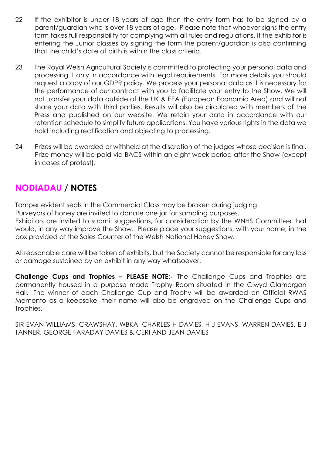- 22 If the exhibitor is under 18 years of age then the entry form has to be signed by a parent/guardian who is over 18 years of age. Please note that whoever signs the entry form takes full responsibility for complying with all rules and regulations. If the exhibitor is entering the Junior classes by signing the form the parent/guardian is also confirming that the child's date of birth is within the class criteria.
- 23 The Royal Welsh Agricultural Society is committed to protecting your personal data and processing it only in accordance with legal requirements. For more details you should request a copy of our GDPR policy. We process your personal data as it is necessary for the performance of our contract with you to facilitate your entry to the Show. We will not transfer your data outside of the UK & EEA (European Economic Area) and will not share your data with third parties. Results will also be circulated with members of the Press and published on our website. We retain your data in accordance with our retention schedule to simplify future applications. You have various rights in the data we hold including rectification and objecting to processing.
- 24 Prizes will be awarded or withheld at the discretion of the judges whose decision is final. Prize money will be paid via BACS within an eight week period after the Show (except in cases of protest).

## **NODIADAU / NOTES**

Tamper evident seals in the Commercial Class may be broken during judging.

Purveyors of honey are invited to donate one jar for sampling purposes.

Exhibitors are invited to submit suggestions, for consideration by the WNHS Committee that would, in any way improve the Show. Please place your suggestions, with your name, in the box provided at the Sales Counter of the Welsh National Honey Show.

All reasonable care will be taken of exhibits, but the Society cannot be responsible for any loss or damage sustained by an exhibit in any way whatsoever.

**Challenge Cups and Trophies – PLEASE NOTE:-** The Challenge Cups and Trophies are permanently housed in a purpose made Trophy Room situated in the Clwyd Glamorgan Hall. The winner of each Challenge Cup and Trophy will be awarded an Official RWAS Memento as a keepsake, their name will also be engraved on the Challenge Cups and Trophies.

SIR EVAN WILLIAMS, CRAWSHAY, WBKA, CHARLES H DAVIES, H J EVANS, WARREN DAVIES, E J TANNER, GEORGE FARADAY DAVIES & CERI AND JEAN DAVIES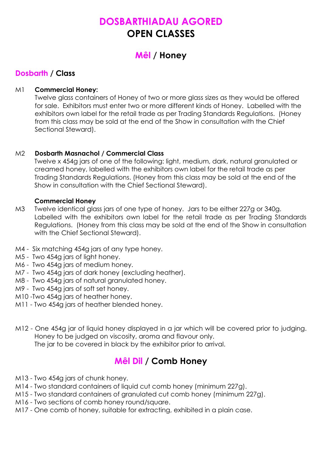## **DOSBARTHIADAU AGORED OPEN CLASSES**

## **Mêl / Honey**

#### **Dosbarth / Class**

#### M1 **Commercial Honey:**

Twelve glass containers of Honey of two or more glass sizes as they would be offered for sale. Exhibitors must enter two or more different kinds of Honey. Labelled with the exhibitors own label for the retail trade as per Trading Standards Regulations. (Honey from this class may be sold at the end of the Show in consultation with the Chief Sectional Steward).

#### M2 **Dosbarth Masnachol / Commercial Class**

Twelve x 454g jars of one of the following: light, medium, dark, natural granulated or creamed honey, labelled with the exhibitors own label for the retail trade as per Trading Standards Regulations. (Honey from this class may be sold at the end of the Show in consultation with the Chief Sectional Steward).

#### **Commercial Honey**

- M3 Twelve identical glass jars of one type of honey. Jars to be either 227g or 340g. Labelled with the exhibitors own label for the retail trade as per Trading Standards Regulations. (Honey from this class may be sold at the end of the Show in consultation with the Chief Sectional Steward).
- M4 Six matching 454g jars of any type honey.
- M5 Two 454g jars of light honey.
- M6 Two 454g jars of medium honey.
- M7 Two 454g jars of dark honey (excluding heather).
- M8 Two 454g jars of natural granulated honey.
- M9 Two 454g jars of soft set honey.
- M10 -Two 454g jars of heather honey.
- M11 Two 454g jars of heather blended honey.
- M12 One 454g jar of liquid honey displayed in a jar which will be covered prior to judging. Honey to be judged on viscosity, aroma and flavour only. The jar to be covered in black by the exhibitor prior to arrival.

## **Mêl Dil / Comb Honey**

- M13 Two 454g jars of chunk honey.
- M14 Two standard containers of liquid cut comb honey (minimum 227g).
- M15 Two standard containers of granulated cut comb honey (minimum 227g).
- M16 Two sections of comb honey round/square.
- M17 One comb of honey, suitable for extracting, exhibited in a plain case.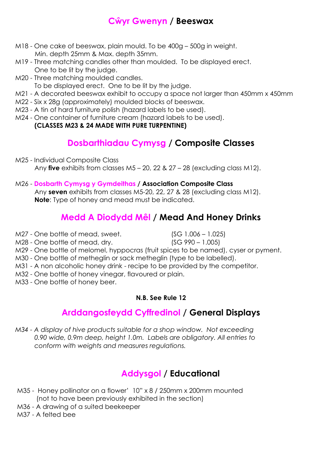## **Cŵyr Gwenyn / Beeswax**

- M18 One cake of beeswax, plain mould. To be 400g 500g in weight. Min. depth 25mm & Max. depth 35mm.
- M19 Three matching candles other than moulded. To be displayed erect. One to be lit by the judge.
- M20 Three matching moulded candles.
	- To be displayed erect. One to be lit by the judge.
- M21 A decorated beeswax exhibit to occupy a space not larger than 450mm x 450mm
- M22 Six x 28g (approximately) moulded blocks of beeswax.
- M23 A tin of hard furniture polish (hazard labels to be used).
- M24 One container of furniture cream (hazard labels to be used).

#### **(CLASSES M23 & 24 MADE WITH PURE TURPENTINE)**

## **Dosbarthiadau Cymysg / Composite Classes**

M25 - Individual Composite Class Any **five** exhibits from classes M5 – 20, 22 & 27 – 28 (excluding class M12).

#### M26 - **Dosbarth Cymysg y Gymdeithas / Association Composite Class**

Any **seven** exhibits from classes M5-20, 22, 27 & 28 (excluding class M12). **Note**: Type of honey and mead must be indicated.

## **Medd A Diodydd Mêl / Mead And Honey Drinks**

M27 - One bottle of mead, sweet. (SG 1.006 – 1.025)

- M28 One bottle of mead, dry. (SG 990 1.005)
- 
- M29 One bottle of melomel, hyppocras (fruit spices to be named), cyser or pyment.
- M30 One bottle of metheglin or sack metheglin (type to be labelled).
- M31 A non alcoholic honey drink recipe to be provided by the competitor.
- M32 One bottle of honey vinegar, flavoured or plain.
- M33 One bottle of honey beer.

#### **N.B. See Rule 12**

## **Arddangosfeydd Cyffredinol / General Displays**

*M34 - A display of hive products suitable for a shop window. Not exceeding 0.90 wide, 0.9m deep, height 1.0m. Labels are obligatory. All entries to conform with weights and measures regulations.*

## **Addysgol / Educational**

- M35 Honey pollinator on a flower' 10" x 8 / 250mm x 200mm mounted (not to have been previously exhibited in the section)
- M36 A drawing of a suited beekeeper

M37 - A felted bee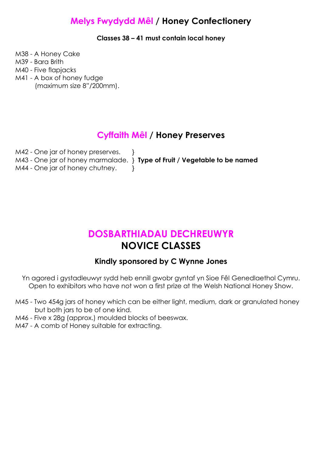## **Melys Fwydydd Mêl / Honey Confectionery**

**Classes 38 – 41 must contain local honey**

M38 - A Honey Cake

- M39 Bara Brith
- M40 Five flapjacks
- M41 A box of honey fudge (maximum size 8"/200mm).

### **Cyffaith Mêl / Honey Preserves**

| M42 - One jar of honey preserves. |                                                                              |
|-----------------------------------|------------------------------------------------------------------------------|
|                                   | M43 - One jar of honey marmalade. $\}$ Type of Fruit / Vegetable to be named |
| M44 - One jar of honey chutney.   |                                                                              |

## **DOSBARTHIADAU DECHREUWYR NOVICE CLASSES**

#### **Kindly sponsored by C Wynne Jones**

- Yn agored i gystadleuwyr sydd heb ennill gwobr gyntaf yn Sioe Fêl Genedlaethol Cymru. Open to exhibitors who have not won a first prize at the Welsh National Honey Show.
- M45 Two 454g jars of honey which can be either light, medium, dark or granulated honey but both jars to be of one kind.
- M46 Five x 28g (approx.) moulded blocks of beeswax.
- M47 A comb of Honey suitable for extracting.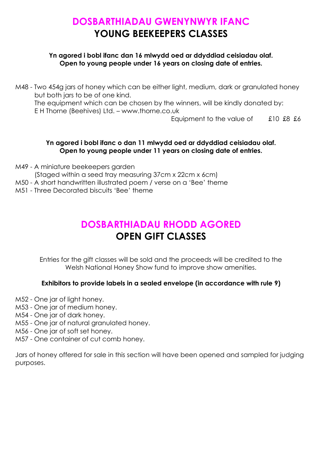## **DOSBARTHIADAU GWENYNWYR IFANC YOUNG BEEKEEPERS CLASSES**

#### **Yn agored i bobl ifanc dan 16 mlwydd oed ar ddyddiad ceisiadau olaf. Open to young people under 16 years on closing date of entries.**

M48 - Two 454g jars of honey which can be either light, medium, dark or granulated honey but both jars to be of one kind. The equipment which can be chosen by the winners, will be kindly donated by: E H Thorne (Beehives) Ltd. – www.thorne.co.uk Equipment to the value of  $\qquad$  £10 £8 £6

#### **Yn agored i bobl ifanc o dan 11 mlwydd oed ar ddyddiad ceisiadau olaf. Open to young people under 11 years on closing date of entries.**

- M49 A miniature beekeepers garden
	- (Staged within a seed tray measuring 37cm x 22cm x 6cm)
- M50 A short handwritten illustrated poem / verse on a 'Bee' theme
- M51 Three Decorated biscuits 'Bee' theme

## **DOSBARTHIADAU RHODD AGORED OPEN GIFT CLASSES**

Entries for the gift classes will be sold and the proceeds will be credited to the Welsh National Honey Show fund to improve show amenities.

#### **Exhibitors to provide labels in a sealed envelope (in accordance with rule 9)**

- M52 One jar of light honey.
- M53 One jar of medium honey.
- M54 One jar of dark honey.
- M55 One jar of natural granulated honey.
- M56 One jar of soft set honey.
- M57 One container of cut comb honey.

Jars of honey offered for sale in this section will have been opened and sampled for judging purposes.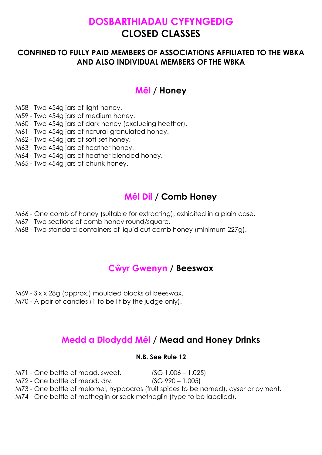## **DOSBARTHIADAU CYFYNGEDIG CLOSED CLASSES**

#### **CONFINED TO FULLY PAID MEMBERS OF ASSOCIATIONS AFFILIATED TO THE WBKA AND ALSO INDIVIDUAL MEMBERS OF THE WBKA**

## **Mêl / Honey**

M58 - Two 454g jars of light honey.

M59 - Two 454g jars of medium honey.

M60 - Two 454g jars of dark honey (excluding heather).

M61 - Two 454g jars of natural granulated honey.

M62 - Two 454g jars of soft set honey.

M63 - Two 454g jars of heather honey.

M64 - Two 454g jars of heather blended honey.

M65 - Two 454g jars of chunk honey.

## **Mêl Dil / Comb Honey**

M66 - One comb of honey (suitable for extracting), exhibited in a plain case.

M67 - Two sections of comb honey round/square.

M68 - Two standard containers of liquid cut comb honey (minimum 227g).

## **Cŵyr Gwenyn / Beeswax**

M69 - Six x 28g (approx.) moulded blocks of beeswax.

M70 - A pair of candles (1 to be lit by the judge only).

## **Medd a Diodydd Mêl / Mead and Honey Drinks**

#### **N.B. See Rule 12**

M71 - One bottle of mead, sweet. (SG 1.006 – 1.025)

M72 - One bottle of mead, dry. (SG 990 – 1.005)

M73 - One bottle of melomel, hyppocras (fruit spices to be named), cyser or pyment.

M74 - One bottle of metheglin or sack metheglin (type to be labelled).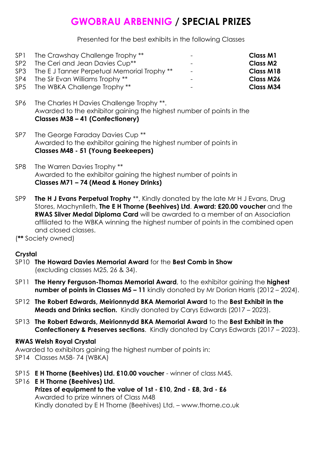## **GWOBRAU ARBENNIG / SPECIAL PRIZES**

Presented for the best exhibits in the following Classes

| SP <sub>1</sub> | The Crawshay Challenge Trophy **               | $\overline{\phantom{0}}$ | <b>Class M1</b>  |
|-----------------|------------------------------------------------|--------------------------|------------------|
| SP <sub>2</sub> | The Ceri and Jean Davies Cup <sup>**</sup>     | $\overline{\phantom{0}}$ | <b>Class M2</b>  |
|                 | SP3 The EJ Tanner Perpetual Memorial Trophy ** | $\sim$                   | <b>Class M18</b> |
| SP4             | The Sir Evan Williams Trophy **                | -                        | <b>Class M26</b> |
|                 | SP5 The WBKA Challenge Trophy **               | $\overline{\phantom{0}}$ | <b>Class M34</b> |
|                 |                                                |                          |                  |

SP6 The Charles H Davies Challenge Trophy \*\*. Awarded to the exhibitor gaining the highest number of points in the **Classes M38 – 41 (Confectionery)**

- SP7 The George Faraday Davies Cup<sup>\*\*</sup> Awarded to the exhibitor gaining the highest number of points in **Classes M48 - 51 (Young Beekeepers)**
- SP8 The Warren Davies Trophy \*\* Awarded to the exhibitor gaining the highest number of points in **Classes M71 – 74 (Mead & Honey Drinks)**
- SP9 **The H J Evans Perpetual Trophy** \*\*, Kindly donated by the late Mr H J Evans, Drug Stores, Machynlleth, **The E H Thorne (Beehives) Ltd**. **Award: £20.00 voucher** and the **RWAS Silver Medal Diploma Card** will be awarded to a member of an Association affiliated to the WBKA winning the highest number of points in the combined open and closed classes.

(**\*\*** Society owned)

#### **Crystal**

- SP10 **The Howard Davies Memorial Award** for the **Best Comb in Show** (excluding classes M25, 26 & 34).
- SP11 **The Henry Ferguson-Thomas Memorial Award**, to the exhibitor gaining the **highest number of points in Classes M5 – 11** kindly donated by Mr Dorian Harris (2012 – 2024).
- SP12 **The Robert Edwards, Meirionnydd BKA Memorial Award** to the **Best Exhibit in the Meads and Drinks section.** Kindly donated by Carys Edwards (2017 – 2023).
- SP13 **The Robert Edwards, Meirionnydd BKA Memorial Award** to the **Best Exhibit in the Confectionery & Preserves sections**. Kindly donated by Carys Edwards (2017 – 2023).

#### **RWAS Welsh Royal Crystal**

Awarded to exhibitors gaining the highest number of points in: SP14 Classes M58- 74 (WBKA)

- SP15 **E H Thorne (Beehives) Ltd. £10.00 voucher** winner of class M45.
- SP16 **E H Thorne (Beehives) Ltd. Prizes of equipment to the value of 1st - £10, 2nd - £8, 3rd - £6** Awarded to prize winners of Class M48 Kindly donated by E H Thorne (Beehives) Ltd. – www.thorne.co.uk